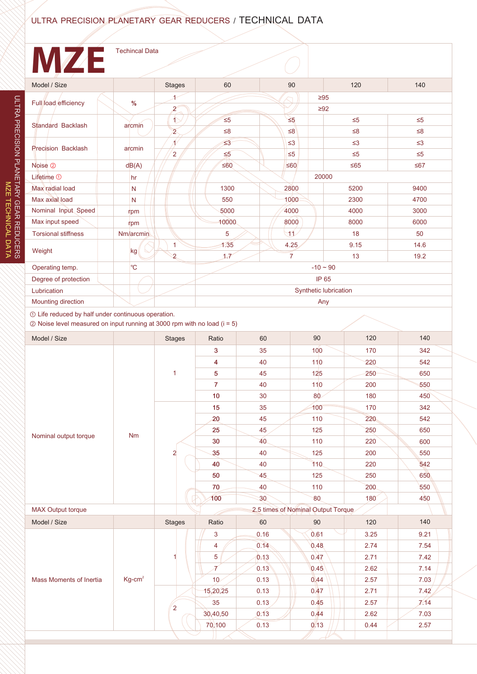## ULTRA PRECISION PLANETARY GEAR REDUCERS / TECHNICAL DATA

## **MZE** Techincal DataModel / Size Stages | 60 | 90 | 120 | 140 1 ≥95 Full load efficiency  $\frac{9}{6}$ 2 ≥92  $\left( \mathbf{r}\right)$ ≤5 ≤5 ≤5 ≤5 Standard Backlash arcmin 2 ≤8 ≤8 ≤8 ≤8 1 ≤3 ≤3 ≤3 ≤3 Precision Backlash arcmin  $\overline{2}$ ≤5 ≤5 ≤5 ≤5 Noise<sup>2</sup> dB(A) ② ≤60 ≤60 ≤65 ≤67 20000 Lifetime  $\odot$ hr Max radial load N 1300 2800 5200 550 1000 2300 Max axial load N Nominal Input Speed rpm 5000 4000 4000 3000 Max input speed 10000 8000 8000 rpm Torsional stiffness Nm/arcmin 5 11 18 1 1.35 4.25 9.15 Weight kg 1.7 2 7 13 Operating temp. ℃  $-10 - 90$ IP 65 Degree of protection Synthetic lubrication Lubrication Mounting direction

① Life reduced by half under continuous operation.

② Noise level measured on input running at 3000 rpm with no load (i = 5)

| Model / Size             |          | <b>Stages</b>  | Ratio                   | 60   | 90                                 | 120         | 140  |
|--------------------------|----------|----------------|-------------------------|------|------------------------------------|-------------|------|
|                          |          | $\mathbf{1}$   | 3                       | 35   | 100                                | 170         | 342  |
|                          |          |                | 4                       | 40   | 110                                | 220         | 542  |
|                          |          |                | $\sqrt{5}$              | 45   | 125                                | 250         | 650  |
|                          |          |                | $\overline{7}$          | 40   | 110                                | 200         | 550  |
|                          |          |                | 10 <sup>°</sup>         | 30   | 80                                 | 180         | 450  |
|                          |          |                | 15                      | 35   | 100                                | 170         | 342  |
|                          |          |                | 20                      | 45   | 110                                | 220         | 542  |
|                          | Nm       |                | 25                      | 45   | 125                                | 250         | 650  |
| Nominal output torque    |          |                | 30                      | 40   | 110                                | 220         | 600  |
|                          |          | $\overline{a}$ | 35                      | 40   | 125                                | 200         | 550  |
|                          |          |                | 40                      | 40   | 110                                | 220         | 542  |
|                          |          |                | 50                      | 45   | 125                                | 250         | 650  |
|                          |          |                | 70                      | 40   | 110                                | 200         | 550  |
|                          |          |                | 100                     | 30   | 80                                 | $180^\circ$ | 450  |
| <b>MAX Output torque</b> |          |                |                         |      | 2.5 times of Nominal Output Torque |             |      |
| Model / Size             |          | <b>Stages</b>  | Ratio                   | 60   | 90                                 | 120         | 140  |
| Mass Moments of Inertia  | $Kg-cm2$ |                | 3                       | 0.16 | 0.61                               | 3.25        | 9.21 |
|                          |          |                | $\overline{\mathbf{4}}$ | 0.14 | 0.48                               | 2.74        | 7.54 |
|                          |          |                | $\overline{5}$          | 0.13 | 0.47                               | 2.71        | 7.42 |
|                          |          |                | 7                       | 0.13 | 0.45                               | 2.62        | 7.14 |
|                          |          |                | 10 <sub>2</sub>         | 0.13 | 0.44                               | 2.57        | 7.03 |
|                          |          | $\overline{2}$ | 15,20,25                | 0.13 | 0.47                               | 2.71        | 7.42 |
|                          |          |                | 35                      | 0.13 | 0.45                               | 2.57        | 7/14 |
|                          |          |                | 30,40,50                | 0.13 | 0.44                               | 2.62        | 7.03 |
|                          |          |                | 70,100                  | 0.13 | 0.13                               | 0.44        | 2.57 |
|                          |          |                |                         |      |                                    |             |      |

Any

9400 4700

6000 50 14.6 19.2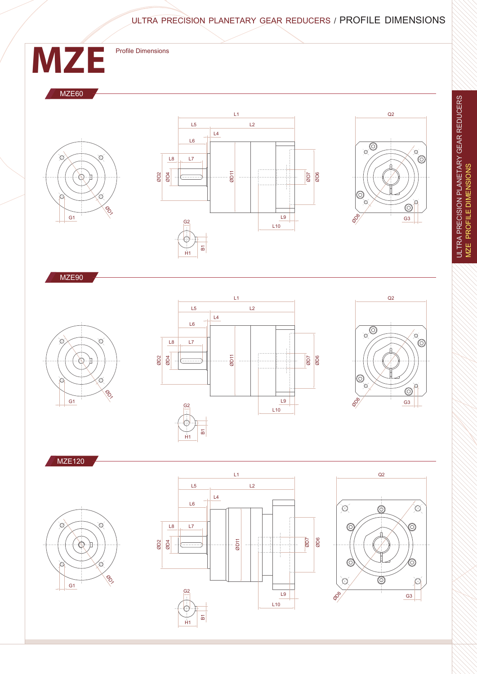ULTRA PRECISION PLANETARY GEAR REDUCERS / PROFILE DIMENSIONS



L10

B1 H1

 $\odot$ 

ULTRA PRECISION PLANETARY GEAR REDUCERS<br>MZE PROFILE DIMENSIONS ULTRA PRECISION PLANETARY GEAR REDUCERS MZE PROFILE DIMENSIONS